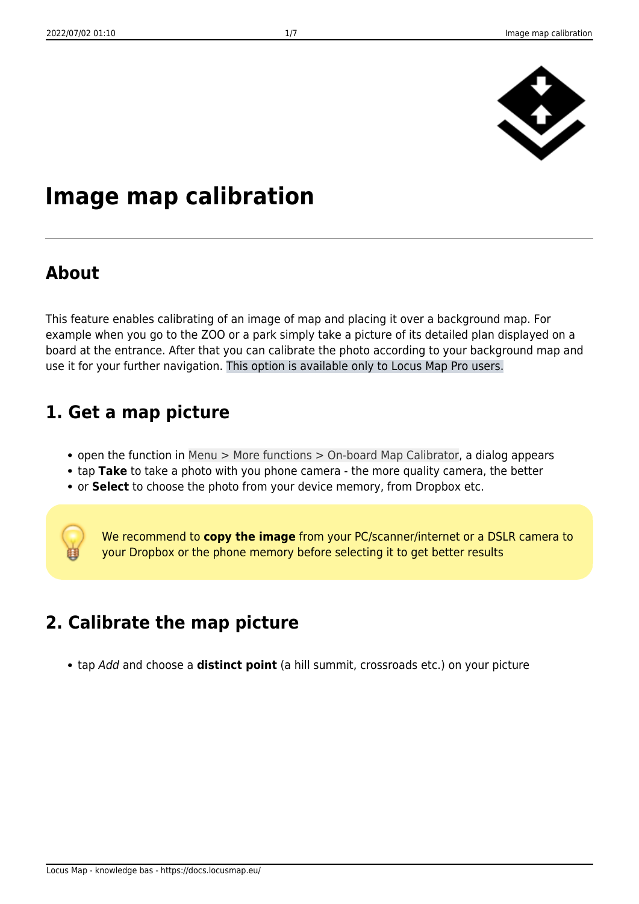

# **Image map calibration**

### **About**

This feature enables calibrating of an image of map and placing it over a background map. For example when you go to the ZOO or a park simply take a picture of its detailed plan displayed on a board at the entrance. After that you can calibrate the photo according to your background map and use it for your further navigation. This option is available only to Locus Map Pro users.

## **1. Get a map picture**

- open the function in Menu > More functions > On-board Map Calibrator, a dialog appears
- tap **Take** to take a photo with you phone camera the more quality camera, the better
- or **Select** to choose the photo from your device memory, from Dropbox etc.



We recommend to **copy the image** from your PC/scanner/internet or a DSLR camera to your Dropbox or the phone memory before selecting it to get better results

## **2. Calibrate the map picture**

tap Add and choose a **distinct point** (a hill summit, crossroads etc.) on your picture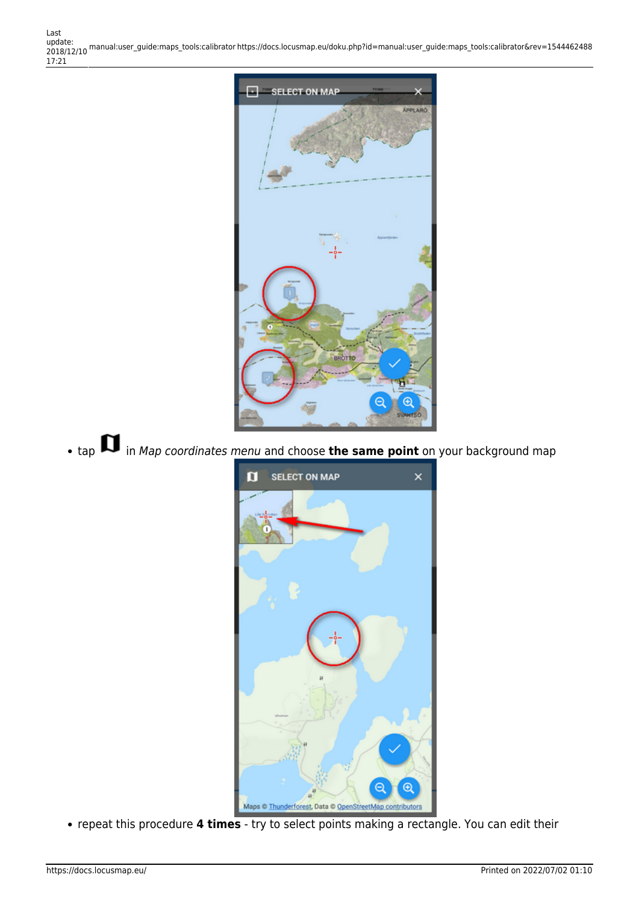

• tap  $\blacksquare$  in *Map coordinates menu* and choose **the same point** on your background map



repeat this procedure **4 times** - try to select points making a rectangle. You can edit their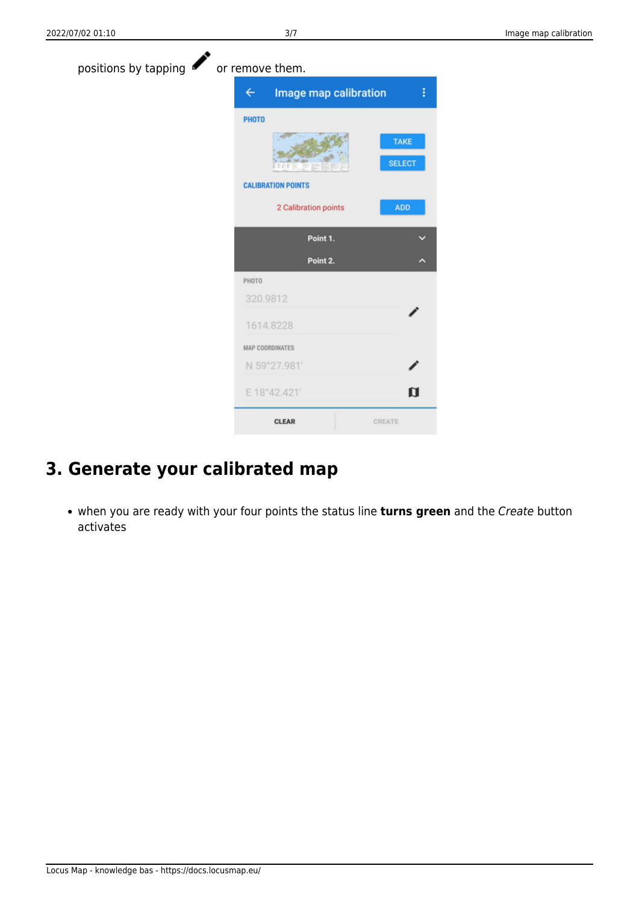| positions by tapping | or remove them. |  |
|----------------------|-----------------|--|
|                      |                 |  |

◢

| $\leftarrow$ | Image map calibration     | i                            |
|--------------|---------------------------|------------------------------|
| <b>PHOTO</b> |                           |                              |
|              | <b>CALIBRATION POINTS</b> | <b>TAKE</b><br><b>SELECT</b> |
|              | 2 Calibration points      | <b>ADD</b>                   |
|              | Point 1.                  |                              |
|              | Point 2.                  |                              |
| PHOTO        |                           |                              |
| 320.9812     |                           |                              |
|              | 1614.8228                 |                              |
|              | <b>MAP COORDINATES</b>    |                              |
|              | N 59°27.981'              |                              |
|              | E 18°42.421'              | Ũ                            |
|              | <b>CLEAR</b>              | CREATE                       |

## **3. Generate your calibrated map**

when you are ready with your four points the status line **turns green** and the Create button activates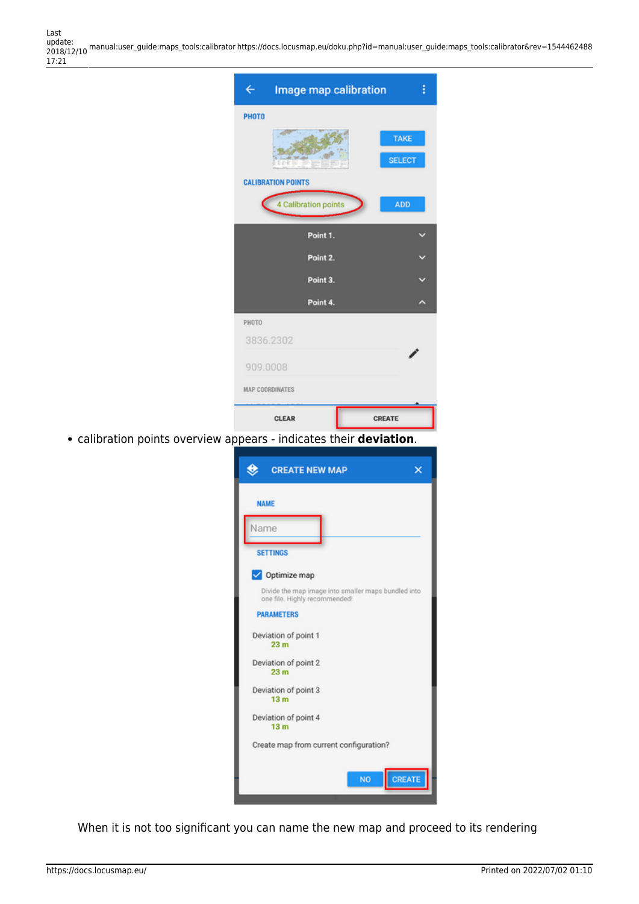Last update: 2018/12/10 manual:user\_guide:maps\_tools:calibrator https://docs.locusmap.eu/doku.php?id=manual:user\_guide:maps\_tools:calibrator&rev=1544462488 17:21

| Image map calibration     |                      |               |
|---------------------------|----------------------|---------------|
| <b>PHOTO</b>              |                      |               |
|                           |                      | <b>TAKE</b>   |
| u                         |                      | <b>SELECT</b> |
| <b>CALIBRATION POINTS</b> |                      |               |
|                           | 4 Calibration points | <b>ADD</b>    |
|                           | Point 1.             |               |
|                           | Point 2.             |               |
|                           | Point 3.             |               |
|                           | Point 4.             |               |
| PHOTO                     |                      |               |
| 3836.2302                 |                      |               |
| 909.0008                  |                      |               |
| <b>MAP COORDINATES</b>    |                      |               |
| <b>CLEAR</b>              | CREATE               |               |

calibration points overview appears - indicates their **deviation**.

| <b>CREATE NEW MAP</b>                                                                                                     |
|---------------------------------------------------------------------------------------------------------------------------|
| <b>NAME</b><br>Name<br><b>SETTINGS</b>                                                                                    |
| Optimize map<br>Divide the map image into smaller maps bundled into<br>one file. Highly recommended!<br><b>PARAMETERS</b> |
| Deviation of point 1<br>23 <sub>m</sub><br>Deviation of point 2<br>23 <sub>m</sub>                                        |
| Deviation of point 3<br>13 <sub>m</sub><br>Deviation of point 4<br>13 <sub>m</sub>                                        |
| Create map from current configuration?<br><b>NO</b><br><b>CREATE</b>                                                      |

When it is not too significant you can name the new map and proceed to its rendering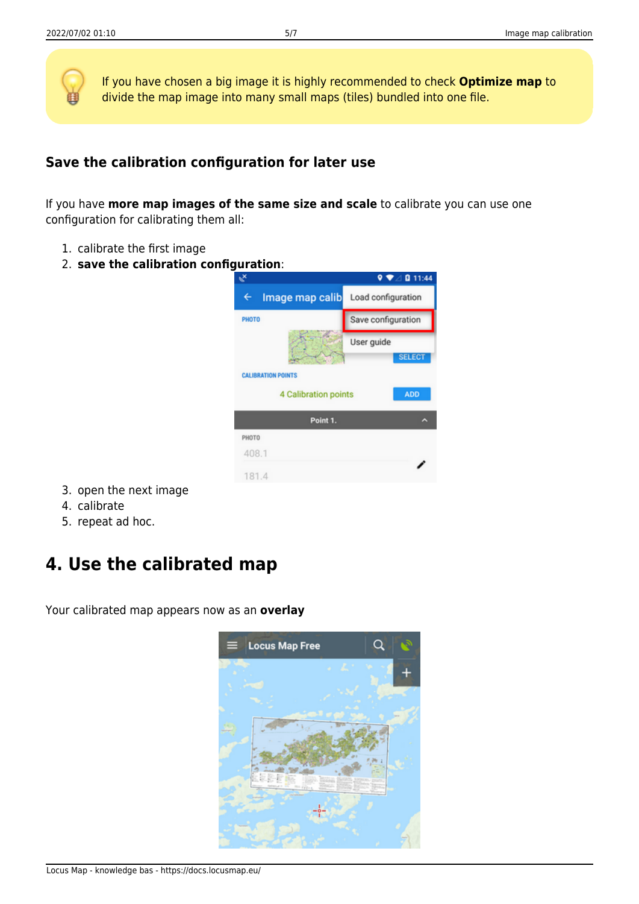If you have chosen a big image it is highly recommended to check **Optimize map** to divide the map image into many small maps (tiles) bundled into one file.

#### **Save the calibration configuration for later use**

If you have **more map images of the same size and scale** to calibrate you can use one configuration for calibrating them all:

- 1. calibrate the first image
- 2. **save the calibration configuration**:



- 3. open the next image
- 4. calibrate
- 5. repeat ad hoc.

### **4. Use the calibrated map**

Your calibrated map appears now as an **overlay**

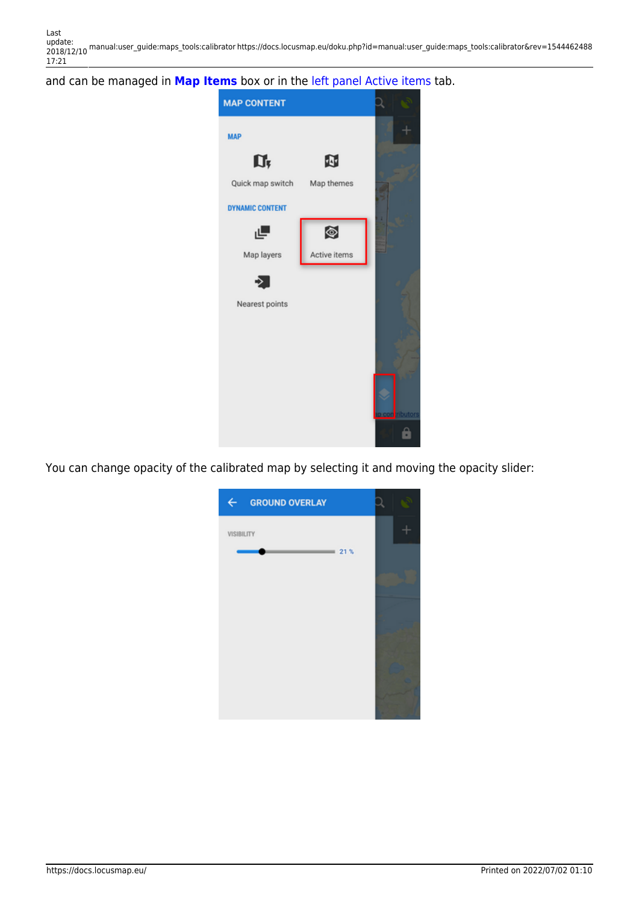Last<br>update: update: 2018/12/10 manual:user\_guide:maps\_tools:calibrator https://docs.locusmap.eu/doku.php?id=manual:user\_guide:maps\_tools:calibrator&rev=1544462488 17:21

#### and can be managed in **[Map Items](https://docs.locusmap.eu/doku.php?id=manual:user_guide:items:management)** box or in the [left panel Active items](https://docs.locusmap.eu/doku.php?id=manual:user_guide:mainscr_lpanel#active_items) tab.



You can change opacity of the calibrated map by selecting it and moving the opacity slider: